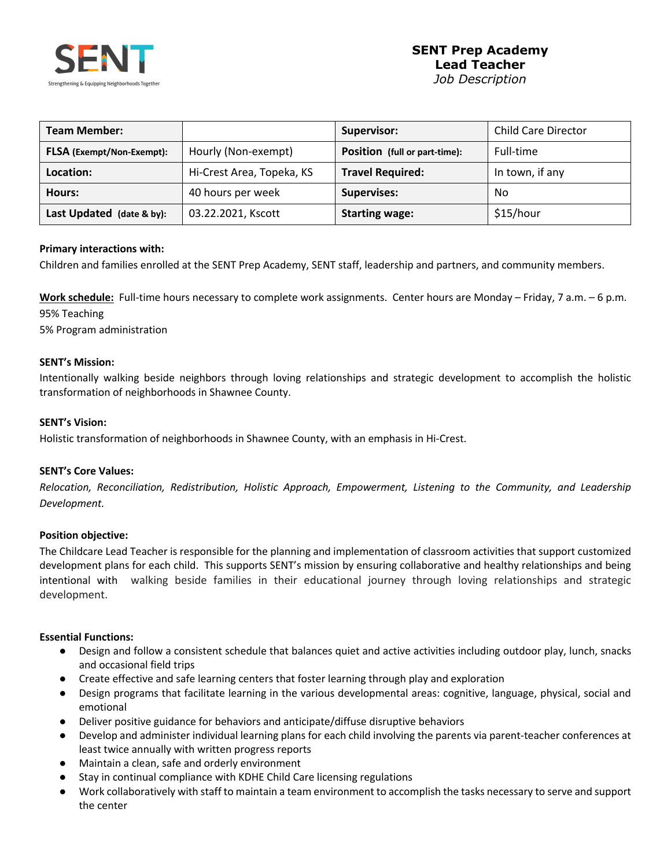

| <b>Team Member:</b>              |                           | Supervisor:                   | <b>Child Care Director</b> |
|----------------------------------|---------------------------|-------------------------------|----------------------------|
| <b>FLSA</b> (Exempt/Non-Exempt): | Hourly (Non-exempt)       | Position (full or part-time): | Full-time                  |
| Location:                        | Hi-Crest Area, Topeka, KS | <b>Travel Required:</b>       | In town, if any            |
| Hours:                           | 40 hours per week         | <b>Supervises:</b>            | No                         |
| Last Updated (date & by):        | 03.22.2021, Kscott        | <b>Starting wage:</b>         | \$15/hour                  |

#### **Primary interactions with:**

Children and families enrolled at the SENT Prep Academy, SENT staff, leadership and partners, and community members.

**Work schedule:** Full-time hours necessary to complete work assignments. Center hours are Monday – Friday, 7 a.m. – 6 p.m. 95% Teaching

5% Program administration

#### **SENT's Mission:**

Intentionally walking beside neighbors through loving relationships and strategic development to accomplish the holistic transformation of neighborhoods in Shawnee County.

#### **SENT's Vision:**

Holistic transformation of neighborhoods in Shawnee County, with an emphasis in Hi-Crest.

#### **SENT's Core Values:**

*Relocation, Reconciliation, Redistribution, Holistic Approach, Empowerment, Listening to the Community, and Leadership Development.*

#### **Position objective:**

The Childcare Lead Teacher is responsible for the planning and implementation of classroom activities that support customized development plans for each child. This supports SENT's mission by ensuring collaborative and healthy relationships and being intentional with walking beside families in their educational journey through loving relationships and strategic development.

#### **Essential Functions:**

- Design and follow a consistent schedule that balances quiet and active activities including outdoor play, lunch, snacks and occasional field trips
- Create effective and safe learning centers that foster learning through play and exploration
- Design programs that facilitate learning in the various developmental areas: cognitive, language, physical, social and emotional
- Deliver positive guidance for behaviors and anticipate/diffuse disruptive behaviors
- Develop and administer individual learning plans for each child involving the parents via parent-teacher conferences at least twice annually with written progress reports
- Maintain a clean, safe and orderly environment
- Stay in continual compliance with KDHE Child Care licensing regulations
- Work collaboratively with staff to maintain a team environment to accomplish the tasks necessary to serve and support the center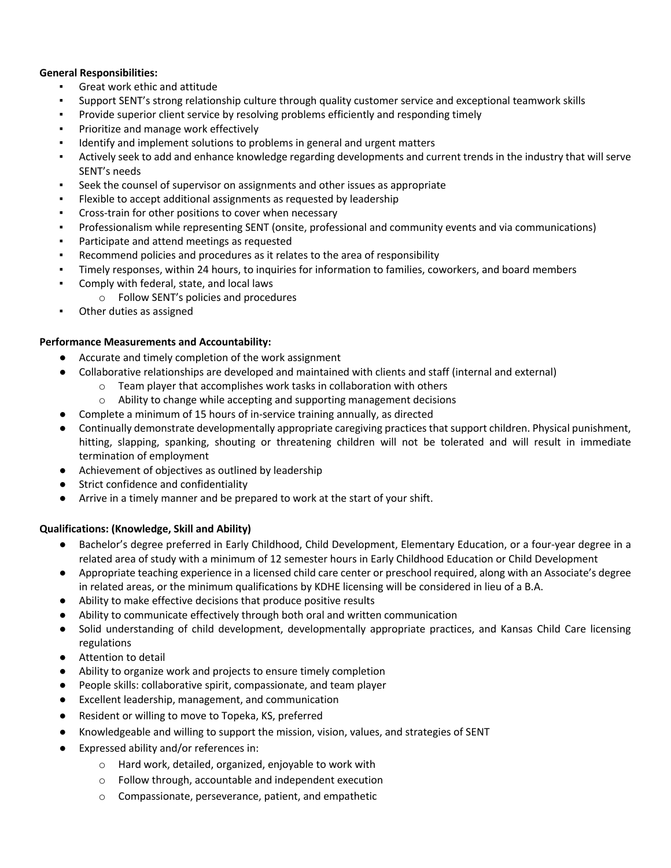# **General Responsibilities:**

- Great work ethic and attitude
- Support SENT's strong relationship culture through quality customer service and exceptional teamwork skills
- Provide superior client service by resolving problems efficiently and responding timely
- Prioritize and manage work effectively
- Identify and implement solutions to problems in general and urgent matters
- Actively seek to add and enhance knowledge regarding developments and current trends in the industry that will serve SENT's needs
- Seek the counsel of supervisor on assignments and other issues as appropriate
- Flexible to accept additional assignments as requested by leadership
- Cross-train for other positions to cover when necessary
- Professionalism while representing SENT (onsite, professional and community events and via communications)
- Participate and attend meetings as requested
- Recommend policies and procedures as it relates to the area of responsibility
- Timely responses, within 24 hours, to inquiries for information to families, coworkers, and board members
- Comply with federal, state, and local laws
	- o Follow SENT's policies and procedures
- Other duties as assigned

# **Performance Measurements and Accountability:**

- Accurate and timely completion of the work assignment
- Collaborative relationships are developed and maintained with clients and staff (internal and external)
	- o Team player that accomplishes work tasks in collaboration with others
	- o Ability to change while accepting and supporting management decisions
- Complete a minimum of 15 hours of in-service training annually, as directed
- Continually demonstrate developmentally appropriate caregiving practices that support children. Physical punishment, hitting, slapping, spanking, shouting or threatening children will not be tolerated and will result in immediate termination of employment
- Achievement of objectives as outlined by leadership
- Strict confidence and confidentiality
- Arrive in a timely manner and be prepared to work at the start of your shift.

# **Qualifications: (Knowledge, Skill and Ability)**

- Bachelor's degree preferred in Early Childhood, Child Development, Elementary Education, or a four-year degree in a related area of study with a minimum of 12 semester hours in Early Childhood Education or Child Development
- Appropriate teaching experience in a licensed child care center or preschool required, along with an Associate's degree in related areas, or the minimum qualifications by KDHE licensing will be considered in lieu of a B.A.
- Ability to make effective decisions that produce positive results
- Ability to communicate effectively through both oral and written communication
- Solid understanding of child development, developmentally appropriate practices, and Kansas Child Care licensing regulations
- Attention to detail
- Ability to organize work and projects to ensure timely completion
- People skills: collaborative spirit, compassionate, and team player
- Excellent leadership, management, and communication
- Resident or willing to move to Topeka, KS, preferred
- Knowledgeable and willing to support the mission, vision, values, and strategies of SENT
- Expressed ability and/or references in:
	- o Hard work, detailed, organized, enjoyable to work with
	- o Follow through, accountable and independent execution
	- o Compassionate, perseverance, patient, and empathetic